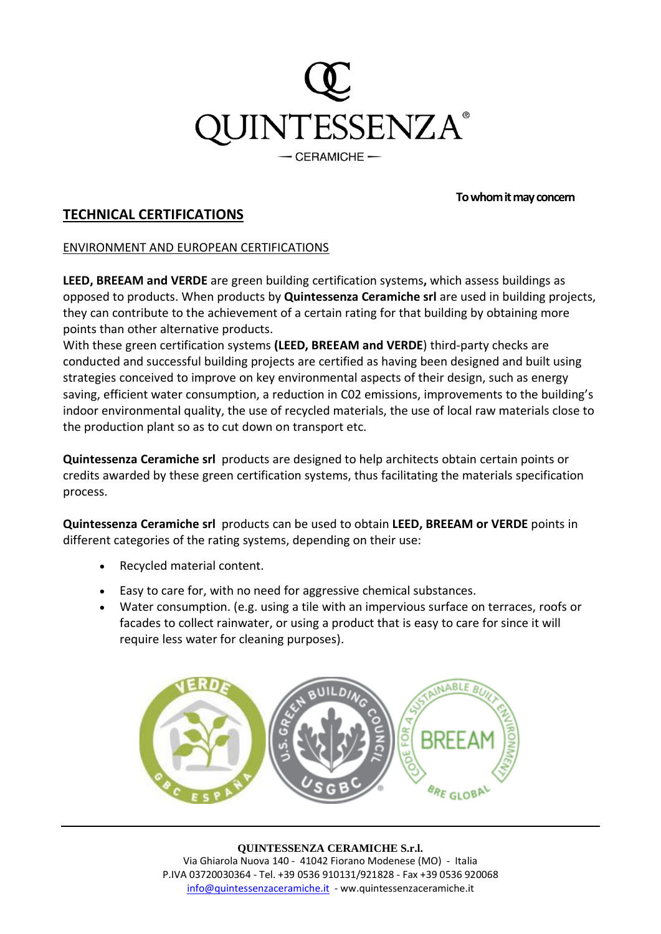

### **To whom it may concern**

# **TECHNICAL CERTIFICATIONS**

## ENVIRONMENT AND EUROPEAN CERTIFICATIONS

**[LEED,](https://new.usgbc.org/leed) [BREEAM](https://www.breeam.es/) and [VERDE](https://www.gbce.es/pagina/certificacion-verde)** are green building certification systems**,** which assess buildings as opposed to products. When products by **Quintessenza Ceramiche srl** are used in building projects, they can contribute to the achievement of a certain rating for that building by obtaining more points than other alternative products.

With these green certification systems **[\(LEED,](https://new.usgbc.org/leed) [BREEAM](https://www.breeam.es/) and [VERDE](https://www.gbce.es/pagina/certificacion-verde)**) third-party checks are conducted and successful building projects are certified as having been designed and built using strategies conceived to improve on key environmental aspects of their design, such as energy saving, efficient water consumption, a reduction in C02 emissions, improvements to the building's indoor environmental quality, the use of recycled materials, the use of local raw materials close to the production plant so as to cut down on transport etc.

**Quintessenza Ceramiche srl** products are designed to help architects obtain certain points or credits awarded by these green certification systems, thus facilitating the materials specification process.

**Quintessenza Ceramiche srl** products can be used to obtain **[LEED,](https://new.usgbc.org/leed) [BREEAM](https://www.breeam.es/) or [VERDE](https://www.gbce.es/pagina/certificacion-verde)** points in different categories of the rating systems, depending on their use:

- Recycled material content.
- Easy to care for, with no need for aggressive chemical substances.
- Water consumption. (e.g. using a tile with an impervious surface on terraces, roofs or facades to collect rainwater, or using a product that is easy to care for since it will require less water for cleaning purposes).



#### **QUINTESSENZA CERAMICHE S.r.l.**

Via Ghiarola Nuova 140 - 41042 Fiorano Modenese (MO) - Italia P.IVA 03720030364 - Tel. +39 0536 910131/921828 - Fax +39 0536 920068 [info@quintessenzaceramiche.it](mailto:info@quintessenzaceramiche.it) - ww.quintessenzaceramiche.it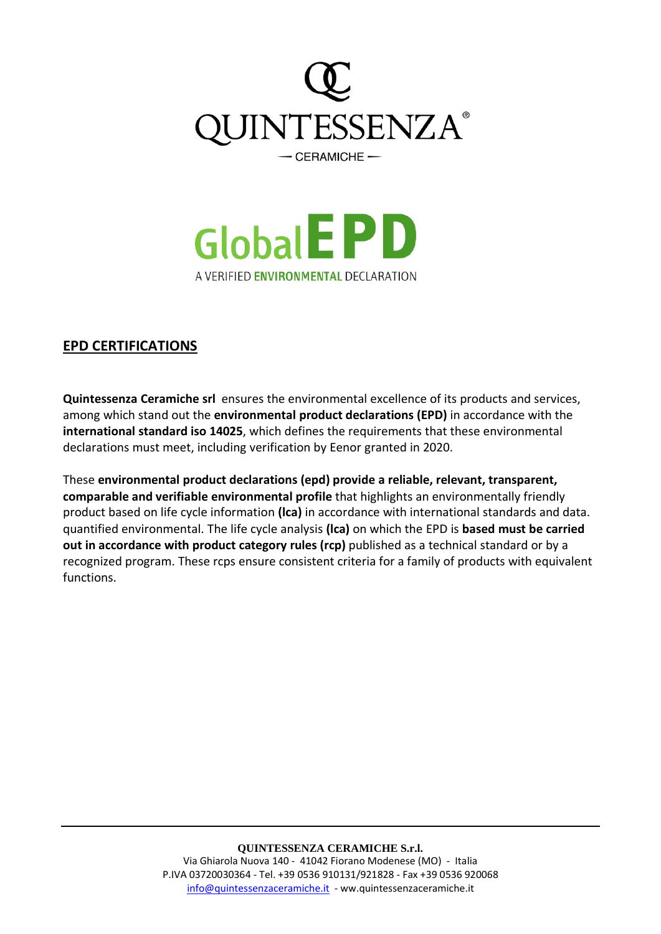



# **EPD CERTIFICATIONS**

**Quintessenza Ceramiche srl** ensures the environmental excellence of its products and services, among which stand out the **environmental product declarations (EPD)** in accordance with the **international standard iso 14025**, which defines the requirements that these environmental declarations must meet, including verification by Eenor granted in 2020.

These **[environmental](https://www.environdec.com/) product declarations (epd) provide a reliable, relevant, transparent, comparable and verifiable environmental profile** that highlights an environmentally friendly product based on life cycle information **(lca)** in accordance with international standards and data. quantified environmental. The life cycle analysis **(lca)** on which the EPD is **based must be carried out in accordance with product category rules (rcp)** published as a technical standard or by a recognized program. These rcps ensure consistent criteria for a family of products with equivalent functions.

## **QUINTESSENZA CERAMICHE S.r.l.**

Via Ghiarola Nuova 140 - 41042 Fiorano Modenese (MO) - Italia P.IVA 03720030364 - Tel. +39 0536 910131/921828 - Fax +39 0536 920068 [info@quintessenzaceramiche.it](mailto:info@quintessenzaceramiche.it) - ww.quintessenzaceramiche.it